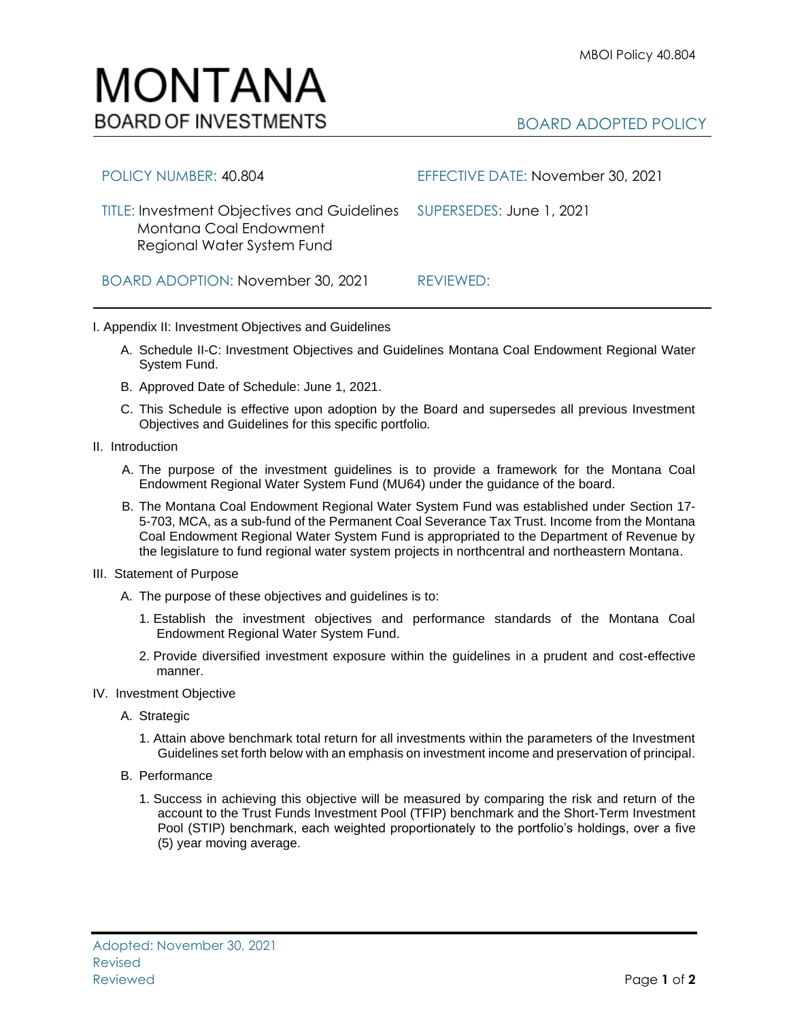

| POLICY NUMBER: 40.804                                                                                      | EFFECTIVE DATE: November 30, 2021 |
|------------------------------------------------------------------------------------------------------------|-----------------------------------|
| <b>TITLE: Investment Objectives and Guidelines</b><br>Montana Coal Endowment<br>Regional Water System Fund | SUPERSEDES: June 1, 2021          |
| BOARD ADOPTION: November 30, 2021                                                                          | REVIEWED:                         |

I. Appendix II: Investment Objectives and Guidelines

- A. Schedule II-C: Investment Objectives and Guidelines Montana Coal Endowment Regional Water System Fund.
- B. Approved Date of Schedule: June 1, 2021.
- C. This Schedule is effective upon adoption by the Board and supersedes all previous Investment Objectives and Guidelines for this specific portfolio*.*
- II. Introduction
	- A. The purpose of the investment guidelines is to provide a framework for the Montana Coal Endowment Regional Water System Fund (MU64) under the guidance of the board.
	- B. The Montana Coal Endowment Regional Water System Fund was established under Section 17- 5-703, MCA, as a sub-fund of the Permanent Coal Severance Tax Trust. Income from the Montana Coal Endowment Regional Water System Fund is appropriated to the Department of Revenue by the legislature to fund regional water system projects in northcentral and northeastern Montana.
- III. Statement of Purpose
	- A. The purpose of these objectives and guidelines is to:
		- 1. Establish the investment objectives and performance standards of the Montana Coal Endowment Regional Water System Fund.
		- 2. Provide diversified investment exposure within the guidelines in a prudent and cost-effective manner.
- IV. Investment Objective
	- A. Strategic
		- 1. Attain above benchmark total return for all investments within the parameters of the Investment Guidelines set forth below with an emphasis on investment income and preservation of principal.
	- B. Performance
		- 1. Success in achieving this objective will be measured by comparing the risk and return of the account to the Trust Funds Investment Pool (TFIP) benchmark and the Short-Term Investment Pool (STIP) benchmark, each weighted proportionately to the portfolio's holdings, over a five (5) year moving average.